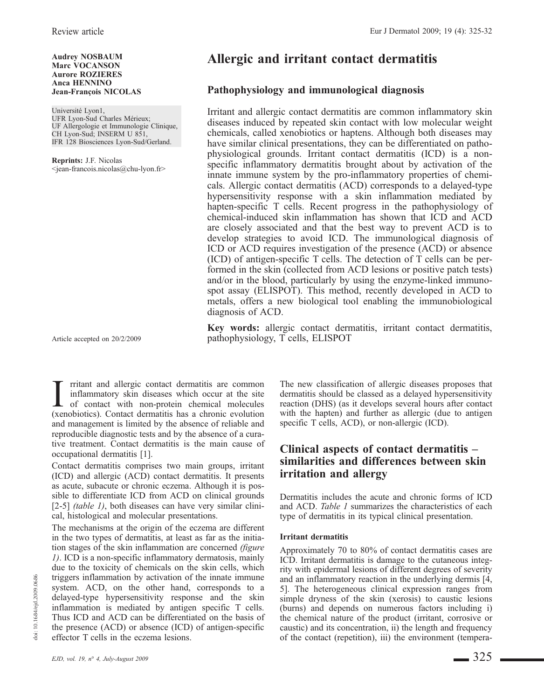#### Audrey NOSBAUM Marc VOCANSON Aurore ROZIERES Anca HENNINO Jean-François NICOLAS

Université Lyon1, UFR Lyon-Sud Charles Mérieux; UF Allergologie et Immunologie Clinique, CH Lyon-Sud; INSERM U 851, IFR 128 Biosciences Lyon-Sud/Gerland.

Reprints: J.F. Nicolas <jean-francois.nicolas@chu-lyon.fr>

Article accepted on 20/2/2009

I ritant and allergic contact dermatitis are common<br>inflammatory skin diseases which occur at the site<br>of contact with non-protein chemical molecules<br>(xenobiotics) Contact dermatitis has a chronic evolution rritant and allergic contact dermatitis are common inflammatory skin diseases which occur at the site (xenobiotics). Contact dermatitis has a chronic evolution and management is limited by the absence of reliable and reproducible diagnostic tests and by the absence of a curative treatment. Contact dermatitis is the main cause of occupational dermatitis [1].

Contact dermatitis comprises two main groups, irritant (ICD) and allergic (ACD) contact dermatitis. It presents as acute, subacute or chronic eczema. Although it is possible to differentiate ICD from ACD on clinical grounds [2-5] *(table 1)*, both diseases can have very similar clinical, histological and molecular presentations.

The mechanisms at the origin of the eczema are different in the two types of dermatitis, at least as far as the initiation stages of the skin inflammation are concerned (figure 1). ICD is a non-specific inflammatory dermatosis, mainly due to the toxicity of chemicals on the skin cells, which triggers inflammation by activation of the innate immune system. ACD, on the other hand, corresponds to a delayed-type hypersensitivity response and the skin inflammation is mediated by antigen specific T cells. Thus ICD and ACD can be differentiated on the basis of the presence (ACD) or absence (ICD) of antigen-specific effector T cells in the eczema lesions.

# Allergic and irritant contact dermatitis

# Pathophysiology and immunological diagnosis

Irritant and allergic contact dermatitis are common inflammatory skin diseases induced by repeated skin contact with low molecular weight chemicals, called xenobiotics or haptens. Although both diseases may have similar clinical presentations, they can be differentiated on pathophysiological grounds. Irritant contact dermatitis (ICD) is a nonspecific inflammatory dermatitis brought about by activation of the innate immune system by the pro-inflammatory properties of chemicals. Allergic contact dermatitis (ACD) corresponds to a delayed-type hypersensitivity response with a skin inflammation mediated by hapten-specific T cells. Recent progress in the pathophysiology of chemical-induced skin inflammation has shown that ICD and ACD are closely associated and that the best way to prevent ACD is to develop strategies to avoid ICD. The immunological diagnosis of ICD or ACD requires investigation of the presence (ACD) or absence (ICD) of antigen-specific T cells. The detection of T cells can be performed in the skin (collected from ACD lesions or positive patch tests) and/or in the blood, particularly by using the enzyme-linked immunospot assay (ELISPOT). This method, recently developed in ACD to metals, offers a new biological tool enabling the immunobiological diagnosis of ACD.

Key words: allergic contact dermatitis, irritant contact dermatitis, pathophysiology, T cells, ELISPOT

> The new classification of allergic diseases proposes that dermatitis should be classed as a delayed hypersensitivity reaction (DHS) (as it develops several hours after contact with the hapten) and further as allergic (due to antigen specific T cells, ACD), or non-allergic (ICD).

# Clinical aspects of contact dermatitis – similarities and differences between skin irritation and allergy

Dermatitis includes the acute and chronic forms of ICD and ACD. Table 1 summarizes the characteristics of each type of dermatitis in its typical clinical presentation.

#### Irritant dermatitis

Approximately 70 to 80% of contact dermatitis cases are ICD. Irritant dermatitis is damage to the cutaneous integrity with epidermal lesions of different degrees of severity and an inflammatory reaction in the underlying dermis [4, 5]. The heterogeneous clinical expression ranges from simple dryness of the skin (xerosis) to caustic lesions (burns) and depends on numerous factors including i) the chemical nature of the product (irritant, corrosive or caustic) and its concentration, ii) the length and frequency of the contact (repetition), iii) the environment (tempera-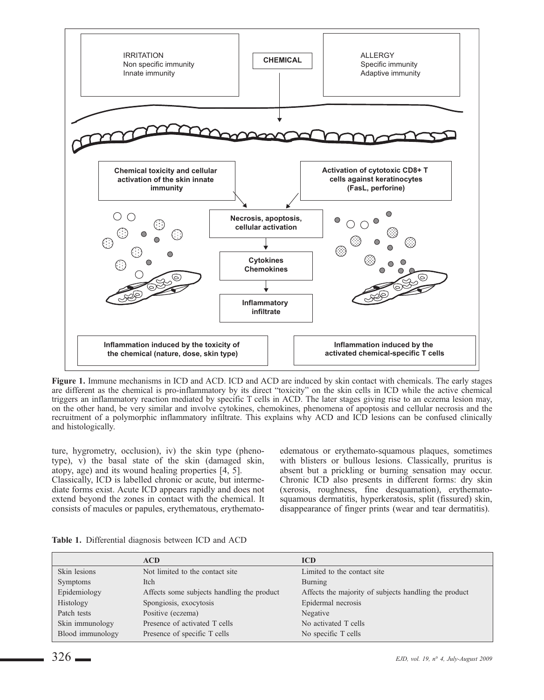

Figure 1. Immune mechanisms in ICD and ACD. ICD and ACD are induced by skin contact with chemicals. The early stages are different as the chemical is pro-inflammatory by its direct "toxicity" on the skin cells in ICD while the active chemical triggers an inflammatory reaction mediated by specific T cells in ACD. The later stages giving rise to an eczema lesion may, on the other hand, be very similar and involve cytokines, chemokines, phenomena of apoptosis and cellular necrosis and the recruitment of a polymorphic inflammatory infiltrate. This explains why ACD and ICD lesions can be confused clinically and histologically.

ture, hygrometry, occlusion), iv) the skin type (phenotype), v) the basal state of the skin (damaged skin, atopy, age) and its wound healing properties [4, 5]. Classically, ICD is labelled chronic or acute, but intermediate forms exist. Acute ICD appears rapidly and does not extend beyond the zones in contact with the chemical. It consists of macules or papules, erythematous, erythematoedematous or erythemato-squamous plaques, sometimes with blisters or bullous lesions. Classically, pruritus is absent but a prickling or burning sensation may occur. Chronic ICD also presents in different forms: dry skin (xerosis, roughness, fine desquamation), erythematosquamous dermatitis, hyperkeratosis, split (fissured) skin, disappearance of finger prints (wear and tear dermatitis).

|                  | <b>ACD</b>                                 | <b>ICD</b>                                            |
|------------------|--------------------------------------------|-------------------------------------------------------|
| Skin lesions     | Not limited to the contact site.           | Limited to the contact site                           |
| <b>Symptoms</b>  | <b>Itch</b>                                | Burning                                               |
| Epidemiology     | Affects some subjects handling the product | Affects the majority of subjects handling the product |
| Histology        | Spongiosis, exocytosis                     | Epidermal necrosis                                    |
| Patch tests      | Positive (eczema)                          | Negative                                              |
| Skin immunology  | Presence of activated T cells              | No activated T cells                                  |
| Blood immunology | Presence of specific T cells               | No specific T cells                                   |

Table 1. Differential diagnosis between ICD and ACD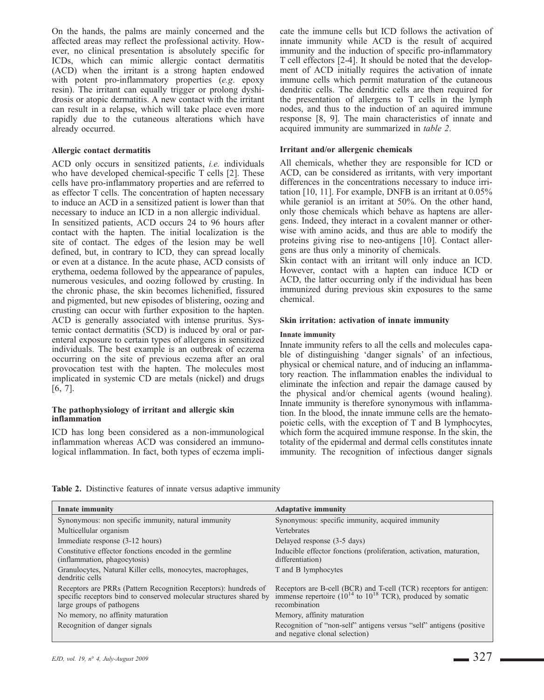On the hands, the palms are mainly concerned and the affected areas may reflect the professional activity. However, no clinical presentation is absolutely specific for ICDs, which can mimic allergic contact dermatitis (ACD) when the irritant is a strong hapten endowed with potent pro-inflammatory properties (e.g. epoxy resin). The irritant can equally trigger or prolong dyshidrosis or atopic dermatitis. A new contact with the irritant can result in a relapse, which will take place even more rapidly due to the cutaneous alterations which have already occurred.

#### Allergic contact dermatitis

ACD only occurs in sensitized patients, i.e. individuals who have developed chemical-specific T cells [2]. These cells have pro-inflammatory properties and are referred to as effector T cells. The concentration of hapten necessary to induce an ACD in a sensitized patient is lower than that necessary to induce an ICD in a non allergic individual. In sensitized patients, ACD occurs 24 to 96 hours after contact with the hapten. The initial localization is the site of contact. The edges of the lesion may be well defined, but, in contrary to ICD, they can spread locally or even at a distance. In the acute phase, ACD consists of erythema, oedema followed by the appearance of papules, numerous vesicules, and oozing followed by crusting. In the chronic phase, the skin becomes lichenified, fissured and pigmented, but new episodes of blistering, oozing and crusting can occur with further exposition to the hapten. ACD is generally associated with intense pruritus. Systemic contact dermatitis (SCD) is induced by oral or parenteral exposure to certain types of allergens in sensitized individuals. The best example is an outbreak of eczema occurring on the site of previous eczema after an oral provocation test with the hapten. The molecules most implicated in systemic CD are metals (nickel) and drugs [6, 7].

### The pathophysiology of irritant and allergic skin inflammation

ICD has long been considered as a non-immunological inflammation whereas ACD was considered an immunological inflammation. In fact, both types of eczema implicate the immune cells but ICD follows the activation of innate immunity while ACD is the result of acquired immunity and the induction of specific pro-inflammatory T cell effectors [2-4]. It should be noted that the development of ACD initially requires the activation of innate immune cells which permit maturation of the cutaneous dendritic cells. The dendritic cells are then required for the presentation of allergens to T cells in the lymph nodes, and thus to the induction of an aquired immune response [8, 9]. The main characteristics of innate and acquired immunity are summarized in table 2.

### Irritant and/or allergenic chemicals

All chemicals, whether they are responsible for ICD or ACD, can be considered as irritants, with very important differences in the concentrations necessary to induce irritation [10, 11]. For example, DNFB is an irritant at 0.05% while geraniol is an irritant at 50%. On the other hand, only those chemicals which behave as haptens are allergens. Indeed, they interact in a covalent manner or otherwise with amino acids, and thus are able to modify the proteins giving rise to neo-antigens [10]. Contact allergens are thus only a minority of chemicals.

Skin contact with an irritant will only induce an ICD. However, contact with a hapten can induce ICD or ACD, the latter occurring only if the individual has been immunized during previous skin exposures to the same chemical.

### Skin irritation: activation of innate immunity

### Innate immunity

Innate immunity refers to all the cells and molecules capable of distinguishing 'danger signals' of an infectious, physical or chemical nature, and of inducing an inflammatory reaction. The inflammation enables the individual to eliminate the infection and repair the damage caused by the physical and/or chemical agents (wound healing). Innate immunity is therefore synonymous with inflammation. In the blood, the innate immune cells are the hematopoietic cells, with the exception of T and B lymphocytes, which form the acquired immune response. In the skin, the totality of the epidermal and dermal cells constitutes innate immunity. The recognition of infectious danger signals

Table 2. Distinctive features of innate versus adaptive immunity

| Innate immunity                                                                                                                                                     | <b>Adaptative immunity</b>                                                                                                                                  |
|---------------------------------------------------------------------------------------------------------------------------------------------------------------------|-------------------------------------------------------------------------------------------------------------------------------------------------------------|
| Synonymous: non specific immunity, natural immunity                                                                                                                 | Synonymous: specific immunity, acquired immunity                                                                                                            |
| Multicellular organism                                                                                                                                              | <b>Vertebrates</b>                                                                                                                                          |
| Immediate response (3-12 hours)                                                                                                                                     | Delayed response (3-5 days)                                                                                                                                 |
| Constitutive effector fonctions encoded in the germline<br>(inflammation, phagocytosis)                                                                             | Inducible effector fonctions (proliferation, activation, maturation,<br>differentiation)                                                                    |
| Granulocytes, Natural Killer cells, monocytes, macrophages,<br>dendritic cells                                                                                      | T and B lymphocytes                                                                                                                                         |
| Receptors are PRRs (Pattern Recognition Receptors): hundreds of<br>specific receptors bind to conserved molecular structures shared by<br>large groups of pathogens | Receptors are B-cell (BCR) and T-cell (TCR) receptors for antigen:<br>immense repertoire $(10^{14}$ to $10^{18}$ TCR), produced by somatic<br>recombination |
| No memory, no affinity maturation                                                                                                                                   | Memory, affinity maturation                                                                                                                                 |
| Recognition of danger signals                                                                                                                                       | Recognition of "non-self" antigens versus "self" antigens (positive<br>and negative clonal selection)                                                       |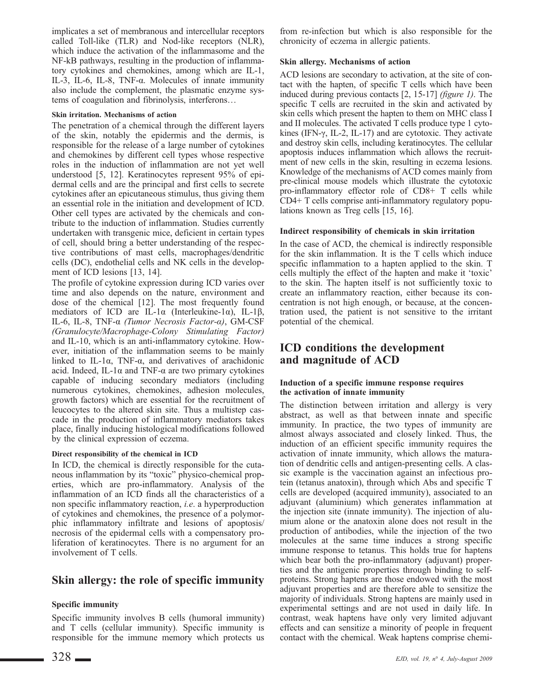implicates a set of membranous and intercellular receptors called Toll-like (TLR) and Nod-like receptors (NLR), which induce the activation of the inflammasome and the NF-kB pathways, resulting in the production of inflammatory cytokines and chemokines, among which are IL-1, IL-3, IL-6, IL-8, TNF-α. Molecules of innate immunity also include the complement, the plasmatic enzyme systems of coagulation and fibrinolysis, interferons…

#### Skin irritation. Mechanisms of action

The penetration of a chemical through the different layers of the skin, notably the epidermis and the dermis, is responsible for the release of a large number of cytokines and chemokines by different cell types whose respective roles in the induction of inflammation are not yet well understood [5, 12]. Keratinocytes represent 95% of epidermal cells and are the principal and first cells to secrete cytokines after an epicutaneous stimulus, thus giving them an essential role in the initiation and development of ICD. Other cell types are activated by the chemicals and contribute to the induction of inflammation. Studies currently undertaken with transgenic mice, deficient in certain types of cell, should bring a better understanding of the respective contributions of mast cells, macrophages/dendritic cells (DC), endothelial cells and NK cells in the development of ICD lesions [13, 14].

The profile of cytokine expression during ICD varies over time and also depends on the nature, environment and dose of the chemical [12]. The most frequently found mediators of ICD are IL-1 $\alpha$  (Interleukine-1 $\alpha$ ), IL-1 $\beta$ , IL-6, IL-8, TNF-α (Tumor Necrosis Factor-α), GM-CSF (Granulocyte/Macrophage-Colony Stimulating Factor) and IL-10, which is an anti-inflammatory cytokine. However, initiation of the inflammation seems to be mainly linked to IL-1 $\alpha$ , TNF- $\alpha$ , and derivatives of arachidonic acid. Indeed, IL-1 $\alpha$  and TNF- $\alpha$  are two primary cytokines capable of inducing secondary mediators (including numerous cytokines, chemokines, adhesion molecules, growth factors) which are essential for the recruitment of leucocytes to the altered skin site. Thus a multistep cascade in the production of inflammatory mediators takes place, finally inducing histological modifications followed by the clinical expression of eczema.

## Direct responsibility of the chemical in ICD

In ICD, the chemical is directly responsible for the cutaneous inflammation by its "toxic" physico-chemical properties, which are pro-inflammatory. Analysis of the inflammation of an ICD finds all the characteristics of a non specific inflammatory reaction, i.e. a hyperproduction of cytokines and chemokines, the presence of a polymorphic inflammatory infiltrate and lesions of apoptosis/ necrosis of the epidermal cells with a compensatory proliferation of keratinocytes. There is no argument for an involvement of T cells.

# Skin allergy: the role of specific immunity

## Specific immunity

Specific immunity involves B cells (humoral immunity) and T cells (cellular immunity). Specific immunity is responsible for the immune memory which protects us from re-infection but which is also responsible for the chronicity of eczema in allergic patients.

### Skin allergy. Mechanisms of action

ACD lesions are secondary to activation, at the site of contact with the hapten, of specific T cells which have been induced during previous contacts [2, 15-17] (figure 1). The specific T cells are recruited in the skin and activated by skin cells which present the hapten to them on MHC class I and II molecules. The activated T cells produce type 1 cytokines (IFN-γ, IL-2, IL-17) and are cytotoxic. They activate and destroy skin cells, including keratinocytes. The cellular apoptosis induces inflammation which allows the recruitment of new cells in the skin, resulting in eczema lesions. Knowledge of the mechanisms of ACD comes mainly from pre-clinical mouse models which illustrate the cytotoxic pro-inflammatory effector role of CD8+ T cells while CD4+ T cells comprise anti-inflammatory regulatory populations known as Treg cells [15, 16].

## Indirect responsibility of chemicals in skin irritation

In the case of ACD, the chemical is indirectly responsible for the skin inflammation. It is the T cells which induce specific inflammation to a hapten applied to the skin. T cells multiply the effect of the hapten and make it 'toxic' to the skin. The hapten itself is not sufficiently toxic to create an inflammatory reaction, either because its concentration is not high enough, or because, at the concentration used, the patient is not sensitive to the irritant potential of the chemical.

# ICD conditions the development and magnitude of ACD

#### Induction of a specific immune response requires the activation of innate immunity

The distinction between irritation and allergy is very abstract, as well as that between innate and specific immunity. In practice, the two types of immunity are almost always associated and closely linked. Thus, the induction of an efficient specific immunity requires the activation of innate immunity, which allows the maturation of dendritic cells and antigen-presenting cells. A classic example is the vaccination against an infectious protein (tetanus anatoxin), through which Abs and specific T cells are developed (acquired immunity), associated to an adjuvant (aluminium) which generates inflammation at the injection site (innate immunity). The injection of alumium alone or the anatoxin alone does not result in the production of antibodies, while the injection of the two molecules at the same time induces a strong specific immune response to tetanus. This holds true for haptens which bear both the pro-inflammatory (adjuvant) properties and the antigenic properties through binding to selfproteins. Strong haptens are those endowed with the most adjuvant properties and are therefore able to sensitize the majority of individuals. Strong haptens are mainly used in experimental settings and are not used in daily life. In contrast, weak haptens have only very limited adjuvant effects and can sensitize a minority of people in frequent contact with the chemical. Weak haptens comprise chemi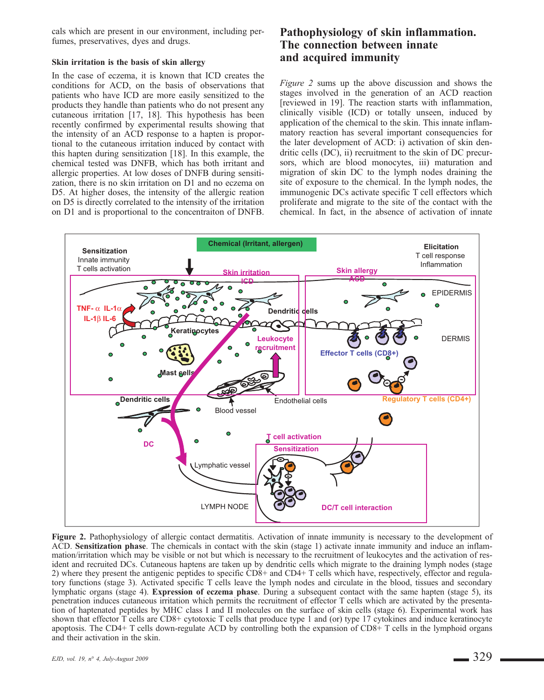cals which are present in our environment, including perfumes, preservatives, dyes and drugs.

#### Skin irritation is the basis of skin allergy

In the case of eczema, it is known that ICD creates the conditions for ACD, on the basis of observations that patients who have ICD are more easily sensitized to the products they handle than patients who do not present any cutaneous irritation [17, 18]. This hypothesis has been recently confirmed by experimental results showing that the intensity of an ACD response to a hapten is proportional to the cutaneous irritation induced by contact with this hapten during sensitization [18]. In this example, the chemical tested was DNFB, which has both irritant and allergic properties. At low doses of DNFB during sensitization, there is no skin irritation on D1 and no eczema on D5. At higher doses, the intensity of the allergic reation on D5 is directly correlated to the intensity of the irritation on D1 and is proportional to the concentraiton of DNFB.

# Pathophysiology of skin inflammation. The connection between innate and acquired immunity

Figure 2 sums up the above discussion and shows the stages involved in the generation of an ACD reaction [reviewed in 19]. The reaction starts with inflammation, clinically visible (ICD) or totally unseen, induced by application of the chemical to the skin. This innate inflammatory reaction has several important consequencies for the later development of ACD: i) activation of skin dendritic cells (DC), ii) recruitment to the skin of DC precursors, which are blood monocytes, iii) maturation and migration of skin DC to the lymph nodes draining the site of exposure to the chemical. In the lymph nodes, the immunogenic DCs activate specific T cell effectors which proliferate and migrate to the site of the contact with the chemical. In fact, in the absence of activation of innate



Figure 2. Pathophysiology of allergic contact dermatitis. Activation of innate immunity is necessary to the development of ACD. Sensitization phase. The chemicals in contact with the skin (stage 1) activate innate immunity and induce an inflammation/irritation which may be visible or not but which is necessary to the recruitment of leukocytes and the activation of resident and recruited DCs. Cutaneous haptens are taken up by dendritic cells which migrate to the draining lymph nodes (stage 2) where they present the antigenic peptides to specific CD8+ and CD4+ T cells which have, respectively, effector and regulatory functions (stage 3). Activated specific T cells leave the lymph nodes and circulate in the blood, tissues and secondary lymphatic organs (stage 4). Expression of eczema phase. During a subsequent contact with the same hapten (stage 5), its penetration induces cutaneous irritation which permits the recruitment of effector T cells which are activated by the presentation of haptenated peptides by MHC class I and II molecules on the surface of skin cells (stage 6). Experimental work has shown that effector T cells are CD8+ cytotoxic T cells that produce type 1 and (or) type 17 cytokines and induce keratinocyte apoptosis. The CD4+ T cells down-regulate ACD by controlling both the expansion of CD8+ T cells in the lymphoid organs and their activation in the skin.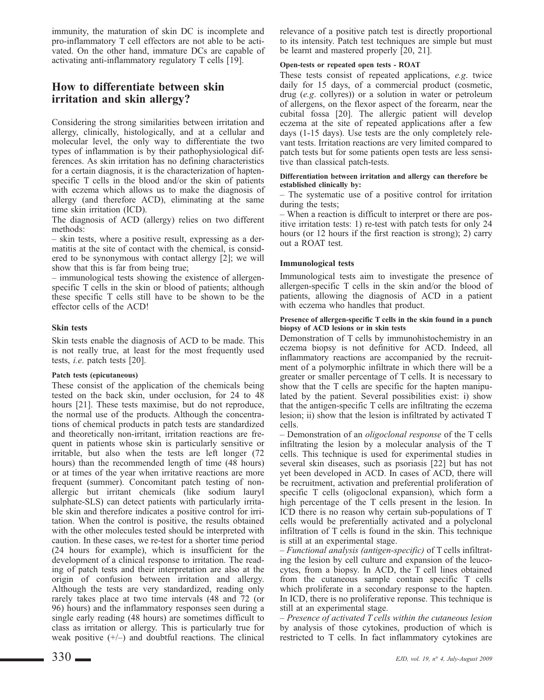immunity, the maturation of skin DC is incomplete and pro-inflammatory T cell effectors are not able to be activated. On the other hand, immature DCs are capable of activating anti-inflammatory regulatory T cells [19].

# How to differentiate between skin irritation and skin allergy?

Considering the strong similarities between irritation and allergy, clinically, histologically, and at a cellular and molecular level, the only way to differentiate the two types of inflammation is by their pathophysiological differences. As skin irritation has no defining characteristics for a certain diagnosis, it is the characterization of haptenspecific T cells in the blood and/or the skin of patients with eczema which allows us to make the diagnosis of allergy (and therefore ACD), eliminating at the same time skin irritation (ICD).

The diagnosis of ACD (allergy) relies on two different methods:

– skin tests, where a positive result, expressing as a dermatitis at the site of contact with the chemical, is considered to be synonymous with contact allergy [2]; we will show that this is far from being true;

– immunological tests showing the existence of allergenspecific T cells in the skin or blood of patients; although these specific T cells still have to be shown to be the effector cells of the ACD!

### Skin tests

Skin tests enable the diagnosis of ACD to be made. This is not really true, at least for the most frequently used tests, i.e. patch tests [20].

#### Patch tests (epicutaneous)

These consist of the application of the chemicals being tested on the back skin, under occlusion, for 24 to 48 hours [21]. These tests maximise, but do not reproduce, the normal use of the products. Although the concentrations of chemical products in patch tests are standardized and theoretically non-irritant, irritation reactions are frequent in patients whose skin is particularly sensitive or irritable, but also when the tests are left longer (72 hours) than the recommended length of time (48 hours) or at times of the year when irritative reactions are more frequent (summer). Concomitant patch testing of nonallergic but irritant chemicals (like sodium lauryl sulphate-SLS) can detect patients with particularly irritable skin and therefore indicates a positive control for irritation. When the control is positive, the results obtained with the other molecules tested should be interpreted with caution. In these cases, we re-test for a shorter time period (24 hours for example), which is insufficient for the development of a clinical response to irritation. The reading of patch tests and their interpretation are also at the origin of confusion between irritation and allergy. Although the tests are very standardized, reading only rarely takes place at two time intervals (48 and 72 (or 96) hours) and the inflammatory responses seen during a single early reading (48 hours) are sometimes difficult to class as irritation or allergy. This is particularly true for weak positive  $(+/-)$  and doubtful reactions. The clinical relevance of a positive patch test is directly proportional to its intensity. Patch test techniques are simple but must be learnt and mastered properly [20, 21].

### Open-tests or repeated open tests - ROAT

These tests consist of repeated applications, e.g. twice daily for 15 days, of a commercial product (cosmetic, drug (e.g. collyres)) or a solution in water or petroleum of allergens, on the flexor aspect of the forearm, near the cubital fossa [20]. The allergic patient will develop eczema at the site of repeated applications after a few days (1-15 days). Use tests are the only completely relevant tests. Irritation reactions are very limited compared to patch tests but for some patients open tests are less sensitive than classical patch-tests.

#### Differentiation between irritation and allergy can therefore be established clinically by:

– The systematic use of a positive control for irritation during the tests;

– When a reaction is difficult to interpret or there are positive irritation tests: 1) re-test with patch tests for only 24 hours (or 12 hours if the first reaction is strong); 2) carry out a ROAT test.

## Immunological tests

Immunological tests aim to investigate the presence of allergen-specific T cells in the skin and/or the blood of patients, allowing the diagnosis of ACD in a patient with eczema who handles that product.

#### Presence of allergen-specific T cells in the skin found in a punch biopsy of ACD lesions or in skin tests

Demonstration of T cells by immunohistochemistry in an eczema biopsy is not definitive for ACD. Indeed, all inflammatory reactions are accompanied by the recruitment of a polymorphic infiltrate in which there will be a greater or smaller percentage of T cells. It is necessary to show that the T cells are specific for the hapten manipulated by the patient. Several possibilities exist: i) show that the antigen-specific T cells are infiltrating the eczema lesion; ii) show that the lesion is infiltrated by activated T cells.

– Demonstration of an oligoclonal response of the T cells infiltrating the lesion by a molecular analysis of the T cells. This technique is used for experimental studies in several skin diseases, such as psoriasis [22] but has not yet been developed in ACD. In cases of ACD, there will be recruitment, activation and preferential proliferation of specific T cells (oligoclonal expansion), which form a high percentage of the T cells present in the lesion. In ICD there is no reason why certain sub-populations of T cells would be preferentially activated and a polyclonal infiltration of T cells is found in the skin. This technique is still at an experimental stage.

– Functional analysis (antigen-specific) of T cells infiltrating the lesion by cell culture and expansion of the leucocytes, from a biopsy. In ACD, the T cell lines obtained from the cutaneous sample contain specific T cells which proliferate in a secondary response to the hapten. In ICD, there is no proliferative reponse. This technique is still at an experimental stage.

– Presence of activated T cells within the cutaneous lesion by analysis of those cytokines, production of which is restricted to T cells. In fact inflammatory cytokines are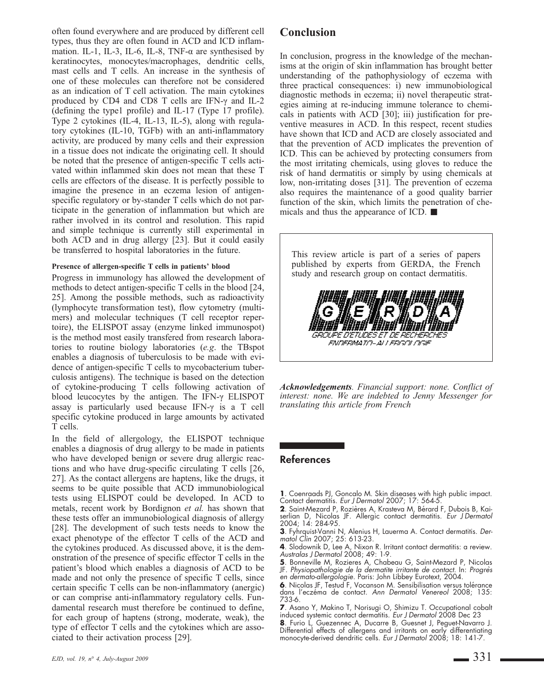often found everywhere and are produced by different cell types, thus they are often found in ACD and ICD inflammation. IL-1, IL-3, IL-6, IL-8, TNF- $\alpha$  are synthesised by keratinocytes, monocytes/macrophages, dendritic cells, mast cells and T cells. An increase in the synthesis of one of these molecules can therefore not be considered as an indication of T cell activation. The main cytokines produced by CD4 and CD8 T cells are IFN-γ and IL-2 (defining the type1 profile) and IL-17 (Type 17 profile). Type 2 cytokines (IL-4, IL-13, IL-5), along with regulatory cytokines (IL-10, TGFb) with an anti-inflammatory activity, are produced by many cells and their expression in a tissue does not indicate the originating cell. It should be noted that the presence of antigen-specific T cells activated within inflammed skin does not mean that these T cells are effectors of the disease. It is perfectly possible to imagine the presence in an eczema lesion of antigenspecific regulatory or by-stander T cells which do not participate in the generation of inflammation but which are rather involved in its control and resolution. This rapid and simple technique is currently still experimental in both ACD and in drug allergy [23]. But it could easily be transferred to hospital laboratories in the future.

#### Presence of allergen-specific T cells in patients' blood

Progress in immunology has allowed the development of methods to detect antigen-specific T cells in the blood [24, 25]. Among the possible methods, such as radioactivity (lymphocyte transformation test), flow cytometry (multimers) and molecular techniques (T cell receptor repertoire), the ELISPOT assay (enzyme linked immunospot) is the method most easily transfered from research laboratories to routine biology laboratories (e.g. the TBspot enables a diagnosis of tuberculosis to be made with evidence of antigen-specific T cells to mycobacterium tuberculosis antigens). The technique is based on the detection of cytokine-producing T cells following activation of blood leucocytes by the antigen. The IFN-γ ELISPOT assay is particularly used because IFN-γ is a T cell specific cytokine produced in large amounts by activated T cells.

In the field of allergology, the ELISPOT technique enables a diagnosis of drug allergy to be made in patients who have developed benign or severe drug allergic reactions and who have drug-specific circulating T cells [26, 27]. As the contact allergens are haptens, like the drugs, it seems to be quite possible that ACD immunobiological tests using ELISPOT could be developed. In ACD to metals, recent work by Bordignon et al. has shown that these tests offer an immunobiological diagnosis of allergy [28]. The development of such tests needs to know the exact phenotype of the effector T cells of the ACD and the cytokines produced. As discussed above, it is the demonstration of the presence of specific effector T cells in the patient's blood which enables a diagnosis of ACD to be made and not only the presence of specific T cells, since certain specific T cells can be non-inflammatory (anergic) or can comprise anti-inflammatory regulatory cells. Fundamental research must therefore be continued to define, for each group of haptens (strong, moderate, weak), the type of effector T cells and the cytokines which are associated to their activation process [29].

In conclusion, progress in the knowledge of the mechanisms at the origin of skin inflammation has brought better understanding of the pathophysiology of eczema with three practical consequences: i) new immunobiological diagnostic methods in eczema; ii) novel therapeutic strategies aiming at re-inducing immune tolerance to chemicals in patients with ACD [30]; iii) justification for preventive measures in ACD. In this respect, recent studies have shown that ICD and ACD are closely associated and that the prevention of ACD implicates the prevention of ICD. This can be achieved by protecting consumers from the most irritating chemicals, using gloves to reduce the risk of hand dermatitis or simply by using chemicals at low, non-irritating doses [31]. The prevention of eczema also requires the maintenance of a good quality barrier function of the skin, which limits the penetration of chemicals and thus the appearance of ICD. ■

| This review article is part of a series of papers<br>published by experts from GERDA, the French<br>study and research group on contact dermatitis. |
|-----------------------------------------------------------------------------------------------------------------------------------------------------|
| GROUPE DETUDES ET DE RECHERCHES<br>FNAFRINATA-AH FREGA AGE                                                                                          |

Acknowledgements. Financial support: none. Conflict of interest: none. We are indebted to Jenny Messenger for translating this article from French

## References

1. Coenraads PJ, Goncalo M. Skin diseases with high public impact. Contact dermatitis. Eur J Dermatol 2007; 17: 564-5.

2. Saint-Mezard P, Rozières A, Krasteva M, Bérard F, Dubois B, Kaiserlian D, Nicolas JF. Allergic contact dermatitis. Eur J Dermatol 2004; 14: 284-95.

3. Fyhrquist-Vanni N, Alenius H, Lauerma A. Contact dermatitis. Dermatol Clin 2007; 25: 613-23.

**4**. Slodownik D, Lee A, Nixon R. Irritant contact dermatitis: a review.<br>*Australas J Dermatol* 2008; 49: 1-9.

5. Bonneville M, Rozieres A, Chabeau G, Saint-Mezard P, Nicolas JF. Physiopathologie de la dermatite irritante de contact. In: Progrès en dermato-allergologie. Paris: John Libbey Eurotext, 2004.

6. Nicolas JF, Testud F, Vocanson M. Sensibilisation versus tolérance dans l'eczéma de contact. Ann Dermatol Venereol 2008; 135: 733-6.

7. Asano Y, Makino T, Norisugi O, Shimizu T. Occupational cobalt induced systemic contact dermatitis. Eur J Dermatol 2008 Dec 23

8. Furio L, Guezennec A, Ducarre B, Guesnet J, Peguet-Navarro J. Differential effects of allergens and irritants on early differentiating<br>monocyte-derived dendritic cells. *Eur J Dermatol* 2008; 18: 141-7.